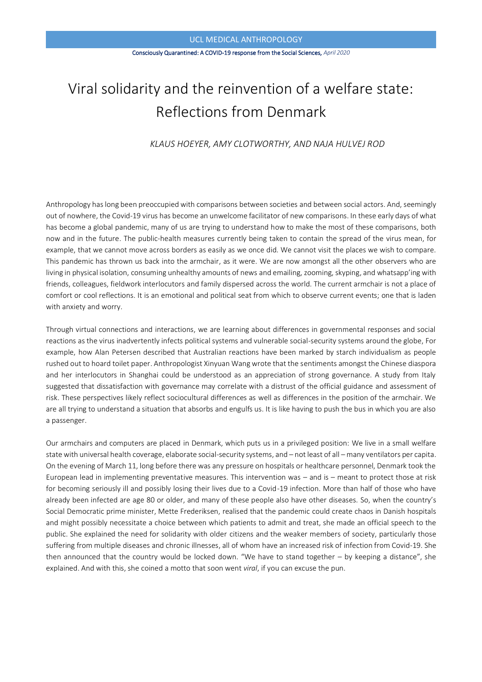#### Consciously Quarantined: A COVID-19 response from the Social Sciences, *April 2020*

# Viral solidarity and the reinvention of a welfare state: Reflections from Denmark

# *KLAUS HOEYER, AMY CLOTWORTHY, AND NAJA HULVEJ ROD*

Anthropology has long been preoccupied with comparisons between societies and between social actors. And, seemingly out of nowhere, the Covid-19 virus has become an unwelcome facilitator of new comparisons. In these early days of what has become a global pandemic, many of us are trying to understand how to make the most of these comparisons, both now and in the future. The public-health measures currently being taken to contain the spread of the virus mean, for example, that we cannot move across borders as easily as we once did. We cannot visit the places we wish to compare. This pandemic has thrown us back into the armchair, as it were. We are now amongst all the other observers who are living in physical isolation, consuming unhealthy amounts of news and emailing, zooming, skyping, and whatsapp'ing with friends, colleagues, fieldwork interlocutors and family dispersed across the world. The current armchair is not a place of comfort or cool reflections. It is an emotional and political seat from which to observe current events; one that is laden with anxiety and worry.

Through virtual connections and interactions, we are learning about differences in governmental responses and social reactions as the virus inadvertently infects political systems and vulnerable social-security systems around the globe, For example, how Alan Petersen described that [Australian reactions have been marked by starch individualism as people](https://lens.monash.edu/2020/03/19/1379851/making-sense-of-social-responses-to-covid-19)  [rushed out to hoard toilet paper.](https://lens.monash.edu/2020/03/19/1379851/making-sense-of-social-responses-to-covid-19) Anthropologist Xinyuan Wang wrote that the sentiments amongst [the Chinese diaspora](https://blogs.ucl.ac.uk/assa/2020/03/30/the-dilemma-of-chinese-people-living-over-seas-during-covid-19/)  [and her interlocutors in Shanghai](https://blogs.ucl.ac.uk/assa/2020/03/30/the-dilemma-of-chinese-people-living-over-seas-during-covid-19/) could be understood as an appreciation of strong governance. A study from Italy suggested that [dissatisfaction with governance may correlate with a distrust of the official guidance](https://sagepus.blogspot.com/2020/03/italian-citizens-and-covid-19.html) and assessment of risk. These perspectives likely reflect sociocultural differences as well as differences in the position of the armchair. We are all trying to understand a situation that absorbs and engulfs us. It is like having to push the bus in which you are also a passenger.

Our armchairs and computers are placed in Denmark, which puts us in a privileged position: We live in a small welfare state with universal health coverage, elaborate social-security systems, and – not least of all – many ventilators per capita. On the evening of March 11, long before there was any pressure on hospitals or healthcare personnel, Denmark took the European lead in implementing preventative measures. This intervention was – and is – meant to protect those at risk for becoming seriously ill and possibly losing their lives due to a Covid-19 infection. More than half of those who have already been infected are age 80 or older, and many of these people also have other diseases. So, when the country's Social Democratic prime minister, Mette Frederiksen, realised that the pandemic could create chaos in Danish hospitals and might possibly necessitate a choice between which patients to admit and treat, she made an official speech to the public. She explained the need for solidarity with older citizens and the weaker members of society, particularly those suffering from multiple diseases and chronic illnesses, all of whom have an increased risk of infection from Covid-19. She then announced that the country would be locked down. "We have to stand together – by keeping a distance", she explained. And with this, she coined a motto that soon went *viral*, if you can excuse the pun.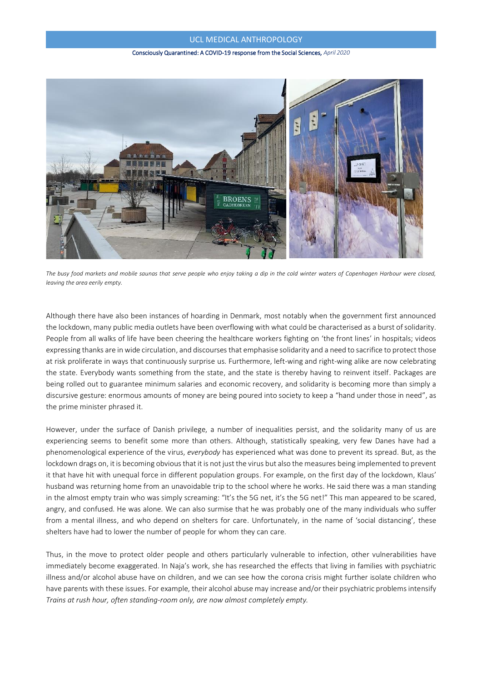#### Consciously Quarantined: A COVID-19 response from the Social Sciences, *April 2020*



*The busy food markets and mobile saunas that serve people who enjoy taking a dip in the cold winter waters of Copenhagen Harbour were closed, leaving the area eerily empty.*

Although there have also been instances of hoarding in Denmark, most notably when the government first announced the lockdown, many public media outlets have been overflowing with what could be characterised as a burst of solidarity. People from all walks of life have been cheering the healthcare workers fighting on 'the front lines' in hospitals; videos expressing thanks are in wide circulation, and discourses that emphasise solidarity and a need to sacrifice to protect those at risk proliferate in ways that continuously surprise us. Furthermore, left-wing and right-wing alike are now celebrating the state. Everybody wants something from the state, and the state is thereby having to reinvent itself. Packages are being rolled out to guarantee minimum salaries and economic recovery, and solidarity is becoming more than simply a discursive gesture: enormous amounts of money are being poured into society to keep a "hand under those in need", as the prime minister phrased it.

However, under the surface of Danish privilege, a number of inequalities persist, and the solidarity many of us are experiencing seems to benefit some more than others. Although, statistically speaking, very few Danes have had a phenomenological experience of the virus, *everybody* has experienced what was done to prevent its spread. But, as the lockdown drags on, it is becoming obvious that it is not just the virus but also the measures being implemented to prevent it that have hit with unequal force in different population groups. For example, on the first day of the lockdown, Klaus' husband was returning home from an unavoidable trip to the school where he works. He said there was a man standing in the almost empty train who was simply screaming: "It's the 5G net, it's the 5G net!" This man appeared to be scared, angry, and confused. He was alone. We can also surmise that he was probably one of the many individuals who suffer from a mental illness, and who depend on shelters for care. Unfortunately, in the name of 'social distancing', these shelters have had to lower the number of people for whom they can care.

Thus, in the move to protect older people and others particularly vulnerable to infection, other vulnerabilities have immediately become exaggerated. In Naja's work, she has researched the effects that living in families with psychiatric illness and/or alcohol abuse have on children, and we can see how the corona crisis might further isolate children who have parents with these issues. For example, their alcohol abuse may increase and/or their psychiatric problems intensify *Trains at rush hour, often standing-room only, are now almost completely empty.*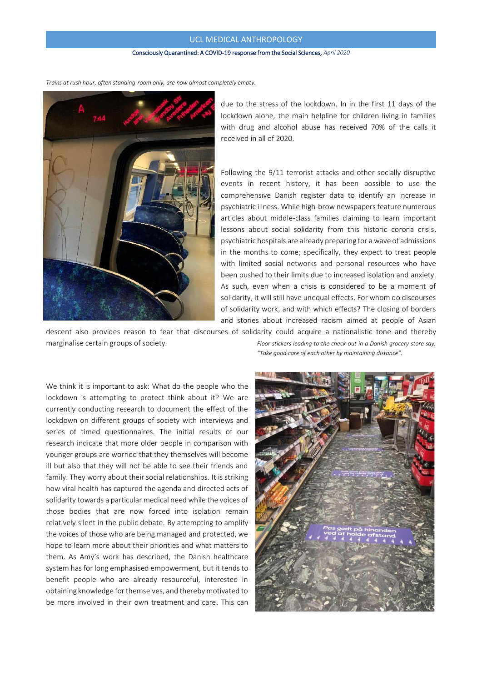#### Consciously Quarantined: A COVID-19 response from the Social Sciences, *April 2020*



due to the stress of the lockdown. In in the first 11 days of the lockdown alone, the main helpline for children living in families with drug and alcohol abuse has received 70% of the calls it received in all of 2020.

Following the 9/11 terrorist attacks and other socially disruptive events in recent history, it has been possible to use the comprehensive Danish register data to identify an increase in psychiatric illness. While high-brow newspapers feature numerous articles about middle-class families claiming to learn important lessons about social solidarity from this historic corona crisis, psychiatric hospitals are already preparing for a wave of admissions in the months to come; specifically, they expect to treat people with limited social networks and personal resources who have been pushed to their limits due to increased isolation and anxiety. As such, even when a crisis is considered to be a moment of solidarity, it will still have unequal effects. For whom do discourses of solidarity work, and with which effects? The closing of borders and stories about increased racism aimed at people of Asian

descent also provides reason to fear that discourses of solidarity could acquire a nationalistic tone and thereby marginalise certain groups of society. *Floor stickers leading to the check-out in a Danish grocery store say,* 

We think it is important to ask: What do the people who the lockdown is attempting to protect think about it? We are currently conducting research to document the effect of the lockdown on different groups of society with interviews and series of timed questionnaires. The initial results of our research indicate that more older people in comparison with younger groups are worried that they themselves will become ill but also that they will not be able to see their friends and family. They worry about their social relationships. It is striking how viral health has captured the agenda and directed acts of solidarity towards a particular medical need while the voices of those bodies that are now forced into isolation remain relatively silent in the public debate. By attempting to amplify the voices of those who are being managed and protected, we hope to learn more about their priorities and what matters to them. As Amy's work has described, the Danish healthcare system has for long emphasised empowerment, but it tends to benefit people who are already resourceful, interested in obtaining knowledge for themselves, and thereby motivated to be more involved in their own treatment and care. This can

*"Take good care of each other by maintaining distance".*



*Trains at rush hour, often standing-room only, are now almost completely empty.*